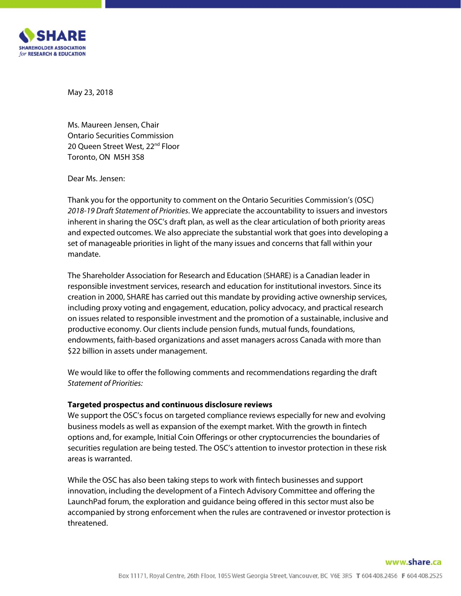

May 23, 2018

Ms. Maureen Jensen, Chair Ontario Securities Commission 20 Oueen Street West, 22<sup>nd</sup> Floor Toronto, ON M5H 3S8

Dear Ms. Jensen:

Thank you for the opportunity to comment on the Ontario Securities Commission's (OSC) *2018-19 Draft Statement of Priorities*. We appreciate the accountability to issuers and investors inherent in sharing the OSC's draft plan, as well as the clear articulation of both priority areas and expected outcomes. We also appreciate the substantial work that goes into developing a set of manageable priorities in light of the many issues and concerns that fall within your mandate.

The Shareholder Association for Research and Education (SHARE) is a Canadian leader in responsible investment services, research and education for institutional investors. Since its creation in 2000, SHARE has carried out this mandate by providing active ownership services, including proxy voting and engagement, education, policy advocacy, and practical research on issues related to responsible investment and the promotion of a sustainable, inclusive and productive economy. Our clients include pension funds, mutual funds, foundations, endowments, faith-based organizations and asset managers across Canada with more than \$22 billion in assets under management.

We would like to offer the following comments and recommendations regarding the draft *Statement of Priorities:*

### **Targeted prospectus and continuous disclosure reviews**

We support the OSC's focus on targeted compliance reviews especially for new and evolving business models as well as expansion of the exempt market. With the growth in fintech options and, for example, Initial Coin Offerings or other cryptocurrencies the boundaries of securities regulation are being tested. The OSC's attention to investor protection in these risk areas is warranted.

While the OSC has also been taking steps to work with fintech businesses and support innovation, including the development of a Fintech Advisory Committee and offering the LaunchPad forum, the exploration and guidance being offered in this sector must also be accompanied by strong enforcement when the rules are contravened or investor protection is threatened.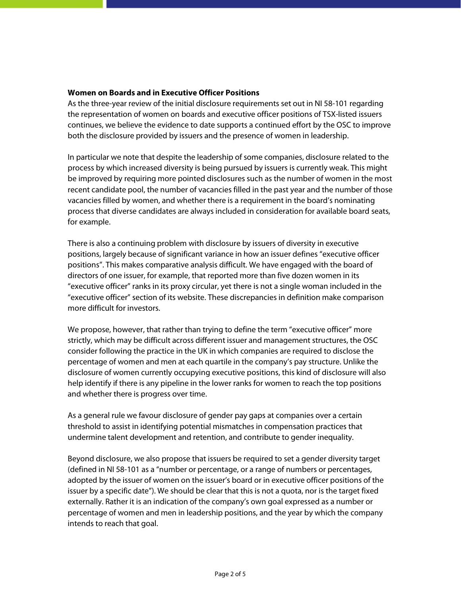### **Women on Boards and in Executive Officer Positions**

As the three-year review of the initial disclosure requirements set out in NI 58-101 regarding the representation of women on boards and executive officer positions of TSX-listed issuers continues, we believe the evidence to date supports a continued effort by the OSC to improve both the disclosure provided by issuers and the presence of women in leadership.

In particular we note that despite the leadership of some companies, disclosure related to the process by which increased diversity is being pursued by issuers is currently weak. This might be improved by requiring more pointed disclosures such as the number of women in the most recent candidate pool, the number of vacancies filled in the past year and the number of those vacancies filled by women, and whether there is a requirement in the board's nominating process that diverse candidates are always included in consideration for available board seats, for example.

There is also a continuing problem with disclosure by issuers of diversity in executive positions, largely because of significant variance in how an issuer defines "executive officer positions". This makes comparative analysis difficult. We have engaged with the board of directors of one issuer, for example, that reported more than five dozen women in its "executive officer" ranks in its proxy circular, yet there is not a single woman included in the "executive officer" section of its website. These discrepancies in definition make comparison more difficult for investors.

We propose, however, that rather than trying to define the term "executive officer" more strictly, which may be difficult across different issuer and management structures, the OSC consider following the practice in the UK in which companies are required to disclose the percentage of women and men at each quartile in the company's pay structure. Unlike the disclosure of women currently occupying executive positions, this kind of disclosure will also help identify if there is any pipeline in the lower ranks for women to reach the top positions and whether there is progress over time.

As a general rule we favour disclosure of gender pay gaps at companies over a certain threshold to assist in identifying potential mismatches in compensation practices that undermine talent development and retention, and contribute to gender inequality.

Beyond disclosure, we also propose that issuers be required to set a gender diversity target (defined in NI 58-101 as a "number or percentage, or a range of numbers or percentages, adopted by the issuer of women on the issuer's board or in executive officer positions of the issuer by a specific date"). We should be clear that this is not a quota, nor is the target fixed externally. Rather it is an indication of the company's own goal expressed as a number or percentage of women and men in leadership positions, and the year by which the company intends to reach that goal.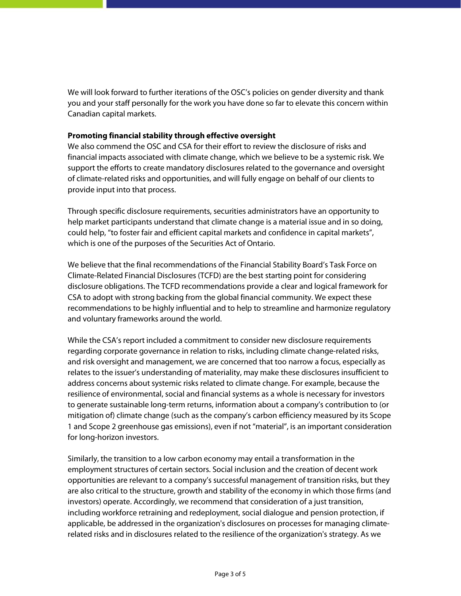We will look forward to further iterations of the OSC's policies on gender diversity and thank you and your staff personally for the work you have done so far to elevate this concern within Canadian capital markets.

## **Promoting financial stability through effective oversight**

We also commend the OSC and CSA for their effort to review the disclosure of risks and financial impacts associated with climate change, which we believe to be a systemic risk. We support the efforts to create mandatory disclosures related to the governance and oversight of climate-related risks and opportunities, and will fully engage on behalf of our clients to provide input into that process.

Through specific disclosure requirements, securities administrators have an opportunity to help market participants understand that climate change is a material issue and in so doing, could help, "to foster fair and efficient capital markets and confidence in capital markets", which is one of the purposes of the Securities Act of Ontario.

We believe that the final recommendations of the Financial Stability Board's Task Force on Climate-Related Financial Disclosures (TCFD) are the best starting point for considering disclosure obligations. The TCFD recommendations provide a clear and logical framework for CSA to adopt with strong backing from the global financial community. We expect these recommendations to be highly influential and to help to streamline and harmonize regulatory and voluntary frameworks around the world.

While the CSA's report included a commitment to consider new disclosure requirements regarding corporate governance in relation to risks, including climate change-related risks, and risk oversight and management, we are concerned that too narrow a focus, especially as relates to the issuer's understanding of materiality, may make these disclosures insufficient to address concerns about systemic risks related to climate change. For example, because the resilience of environmental, social and financial systems as a whole is necessary for investors to generate sustainable long-term returns, information about a company's contribution to (or mitigation of) climate change (such as the company's carbon efficiency measured by its Scope 1 and Scope 2 greenhouse gas emissions), even if not "material", is an important consideration for long-horizon investors.

Similarly, the transition to a low carbon economy may entail a transformation in the employment structures of certain sectors. Social inclusion and the creation of decent work opportunities are relevant to a company's successful management of transition risks, but they are also critical to the structure, growth and stability of the economy in which those firms (and investors) operate. Accordingly, we recommend that consideration of a just transition, including workforce retraining and redeployment, social dialogue and pension protection, if applicable, be addressed in the organization's disclosures on processes for managing climate related risks and in disclosures related to the resilience of the organization's strategy. As we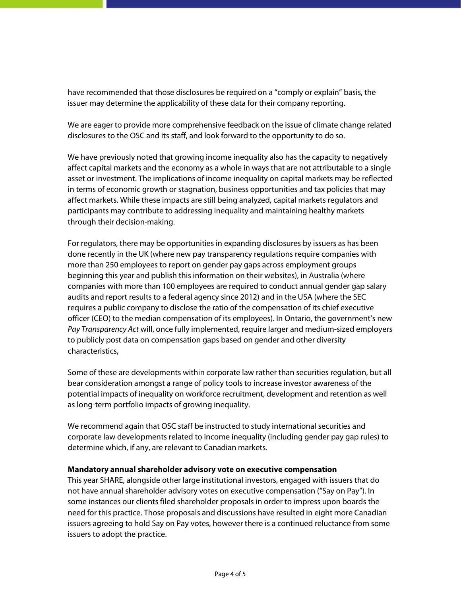have recommended that those disclosures be required on a "comply or explain" basis, the issuer may determine the applicability of these data for their company reporting.

We are eager to provide more comprehensive feedback on the issue of climate change related disclosures to the OSC and its staff, and look forward to the opportunity to do so.

We have previously noted that growing income inequality also has the capacity to negatively affect capital markets and the economy as a whole in ways that are not attributable to a single asset or investment. The implications of income inequality on capital markets may be reflected in terms of economic growth or stagnation, business opportunities and tax policies that may affect markets. While these impacts are still being analyzed, capital markets regulators and participants may contribute to addressing inequality and maintaining healthy markets through their decision-making.

For regulators, there may be opportunities in expanding disclosures by issuers as has been done recently in the UK (where new pay transparency regulations require companies with more than 250 employees to report on gender pay gaps across employment groups beginning this year and publish this information on their websites), in Australia (where companies with more than 100 employees are required to conduct annual gender gap salary audits and report results to a federal agency since 2012) and in the USA (where the SEC requires a public company to disclose the ratio of the compensation of its chief executive officer (CEO) to the median compensation of its employees). In Ontario, the government's new *Pay Transparency Act* will, once fully implemented, require larger and medium-sized employers to publicly post data on compensation gaps based on gender and other diversity characteristics,

Some of these are developments within corporate law rather than securities regulation, but all bear consideration amongst a range of policy tools to increase investor awareness of the potential impacts of inequality on workforce recruitment, development and retention as well as long-term portfolio impacts of growing inequality.

We recommend again that OSC staff be instructed to study international securities and corporate law developments related to income inequality (including gender pay gap rules) to determine which, if any, are relevant to Canadian markets.

### **Mandatory annual shareholder advisory vote on executive compensation**

This year SHARE, alongside other large institutional investors, engaged with issuers that do not have annual shareholder advisory votes on executive compensation ("Say on Pay"). In some instances our clients filed shareholder proposals in order to impress upon boards the need for this practice. Those proposals and discussions have resulted in eight more Canadian issuers agreeing to hold Say on Pay votes, however there is a continued reluctance from some issuers to adopt the practice.